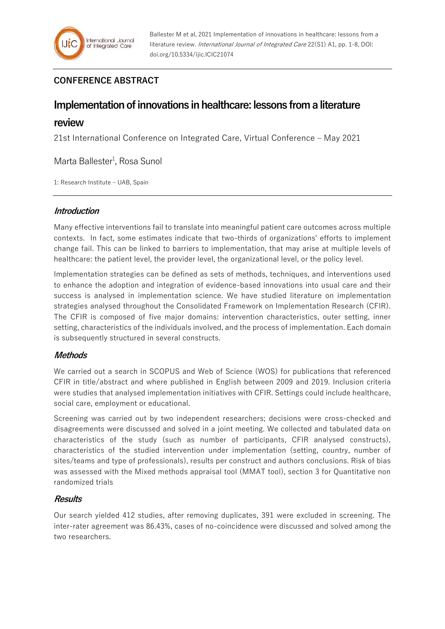# **CONFERENCE ABSTRACT**

# **Implementation of innovations in healthcare: lessons from a literature**

## **review**

21st International Conference on Integrated Care, Virtual Conference – May 2021

Marta Ballester<sup>1</sup>, Rosa Sunol

1: Research Institute – UAB, Spain

### **Introduction**

Many effective interventions fail to translate into meaningful patient care outcomes across multiple contexts. In fact, some estimates indicate that two-thirds of organizations' efforts to implement change fail. This can be linked to barriers to implementation, that may arise at multiple levels of healthcare: the patient level, the provider level, the organizational level, or the policy level.

Implementation strategies can be defined as sets of methods, techniques, and interventions used to enhance the adoption and integration of evidence-based innovations into usual care and their success is analysed in implementation science. We have studied literature on implementation strategies analysed throughout the Consolidated Framework on Implementation Research (CFIR). The CFIR is composed of five major domains: intervention characteristics, outer setting, inner setting, characteristics of the individuals involved, and the process of implementation. Each domain is subsequently structured in several constructs.

## **Methods**

We carried out a search in SCOPUS and Web of Science (WOS) for publications that referenced CFIR in title/abstract and where published in English between 2009 and 2019. Inclusion criteria were studies that analysed implementation initiatives with CFIR. Settings could include healthcare, social care, employment or educational.

Screening was carried out by two independent researchers; decisions were cross-checked and disagreements were discussed and solved in a joint meeting. We collected and tabulated data on characteristics of the study (such as number of participants, CFIR analysed constructs), characteristics of the studied intervention under implementation (setting, country, number of sites/teams and type of professionals), results per construct and authors conclusions. Risk of bias was assessed with the Mixed methods appraisal tool (MMAT tool), section 3 for Quantitative non randomized trials

## **Results**

Our search yielded 412 studies, after removing duplicates, 391 were excluded in screening. The inter-rater agreement was 86.43%, cases of no-coincidence were discussed and solved among the two researchers.